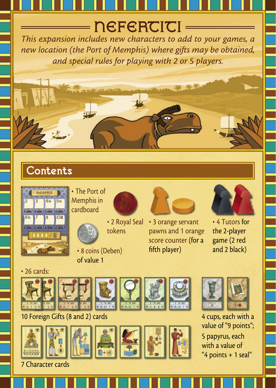# $\rule{1em}{0.15mm}$   $\blacksquare$   $\blacksquare$   $\blacksquare$

This expansion includes new characters to add to your games, a new location (the Port of Memphis) where gifts may be obtained, and special rules for playing with 2 or 5 players.

# **Contents**



• The Port of Memphis in cardboard



• 2 Royal Seal tokens

• 8 coins (Deben) of value 1







• 4 Tutors for the 2-player game (2 red and 2 black)

• 26 cards:













10 Foreign Gifts (8 and 2) cards 4 cups, each with a value of "9 points"; 5 papyrus, each with a value of "4 points + 1 seal"

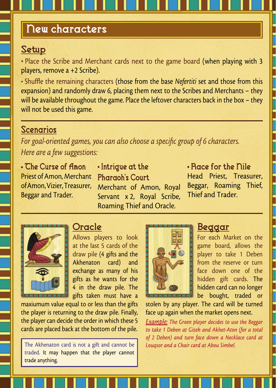## New characters

#### Setup

• Place the Scribe and Merchant cards next to the game board (when playing with 3 players, remove a +2 Scribe).

• Shuffle the remaining characters (those from the base Nefertiti set and those from this expansion) and randomly draw 6, placing them next to the Scribes and Merchants – they will be available throughout the game. Place the leftover characters back in the box – they will not be used this game.

#### **Scenarios**

For goal-oriented games, you can also choose a specific group of 6 characters. Here are a few suggestions:

• The Curse of Amon Priest of Amon, Merchant of Amon, Vizier, Treasurer, Beggar and Trader.

• Intrigue at the Pharaoh's Court Merchant of Amon, Royal Servant x 2, Royal Scribe, Roaming Thief and Oracle.

• Race for the Nile Head Priest, Treasurer, Beggar, Roaming Thief, Thief and Trader.



### **Oracle**

Allows players to look at the last 5 cards of the draw pile (4 gifts and the Akhenaton card) and exchange as many of his gifts as he wants for the 4 in the draw pile. The gifts taken must have a

maxiumum value equal to or less than the gifts the player is returning to the draw pile. Finally, the player can decide the order in which these 5 cards are placed back at the bottom of the pile.

The Akhenaton card is not a gift and cannot be traded. It may happen that the player cannot trade anything.



#### Beggar

For each Market on the game board, allows the player to take 1 Deben from the reserve or turn face down one of the hidden gift cards. The hidden card can no longer be bought, traded or

stolen by any player. The card will be turned face up again when the market opens next.

Example: The Green player decides to use the Beggar to take 1 Deben at Gizeh and Akhet-Aton (for a total of 2 Deben) and turn face down a Necklace card at Louqsor and a Chair card at Abou Simbel.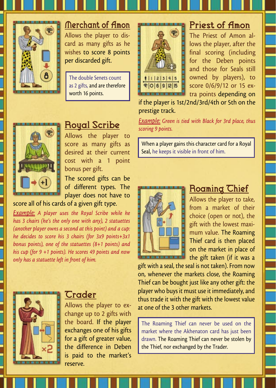

# Merchant of Amon

Allows the player to discard as many gifts as he wishes to score 8 points per discarded gift.

The double Senets count as 2 gifts, and are therefore worth 16 points.



#### Priest of Amon The Priest of Amon allows the player, after the final scoring (including

for the Deben points and those for Seals still owned by players), to score 0/6/9/12 or 15 extra points depending on

if the player is 1st/2nd/3rd/4th or 5th on the prestige track.

Example: Green is tied with Black for 3rd place, thus scoring 9 points.

When a player gains this character card for a Royal Seal, he keeps it visible in front of him.



### Roaming Thief

Allows the player to take, from a market of their choice (open or not), the gift with the lowest maximum value. The Roaming Thief card is then placed on the market in place of the gift taken (if it was a

gift with a seal, the seal is not taken). From now on, whenever the markets close, the Roaming Thief can be bought just like any other gift: the player who buys it must use it immediately, and thus trade it with the gift with the lowest value at one of the 3 other markets.

The Roaming Thief can never be used on the market where the Akhenaton card has just been drawn. The Roaming Thief can never be stolen by the Thief, nor exchanged by the Trader.



## Royal Scribe

Allows the player to score as many gifts as desired at their current cost with a 1 point bonus per gift.

The scored gifts can be of different types. The player does not have to

score all of his cards of a given gift type.

Example: A player uses the Royal Scribe while he has 3 chairs (he's the only one with any), 2 statuettes (another player owns a second at this point) and a cup: he decides to score his 3 chairs (for 3x9 points+3x1 bonus points), one of the statuettes (8+1 points) and his cup (for 9 +1 points). He scores 49 points and now only has a statuette left in front of him.



#### *Crader*

Allows the player to exchange up to 2 gifts with the board. If the player exchanges one of his gifts for a gift of greater value, the difference in Deben is paid to the market's reserve.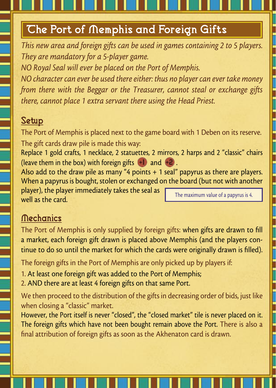# The Port of Memphis and Foreign Gifts

This new area and foreign gifts can be used in games containing 2 to 5 players. They are mandatory for a 5-player game.

NO Royal Seal will ever be placed on the Port of Memphis.

NO character can ever be used there either: thus no player can ever take money from there with the Beggar or the Treasurer, cannot steal or exchange gifts there, cannot place 1 extra servant there using the Head Priest.

## Setup

The Port of Memphis is placed next to the game board with 1 Deben on its reserve. The gift cards draw pile is made this way:

Replace 1 gold crafts, 1 necklace, 2 statuettes, 2 mirrors, 2 harps and 2 "classic" chairs (leave them in the box) with foreign gifts  $+1$  and  $+2$ .

Also add to the draw pile as many "4 points + 1 seal" papyrus as there are players. When a papyrus is bought, stolen or exchanged on the board (but not with another

player), the player immediately takes the seal as well as the card.

The maximum value of a papyrus is 4.

## **Mechanics**

The Port of Memphis is only supplied by foreign gifts: when gifts are drawn to fill a market, each foreign gift drawn is placed above Memphis (and the players continue to do so until the market for which the cards were originally drawn is filled).

The foreign gifts in the Port of Memphis are only picked up by players if:

- 1. At least one foreign gift was added to the Port of Memphis;
- 2. AND there are at least 4 foreign gifts on that same Port.

We then proceed to the distribution of the gifts in decreasing order of bids, just like when closing a "classic" market.

However, the Port itself is never "closed", the "closed market" tile is never placed on it. The foreign gifts which have not been bought remain above the Port. There is also a final attribution of foreign gifts as soon as the Akhenaton card is drawn.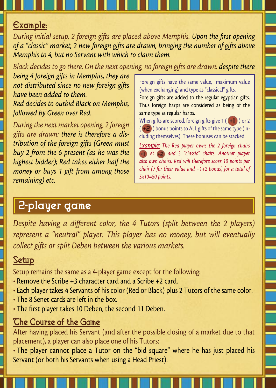#### Example:

During initial setup, 2 foreign gifts are placed above Memphis. Upon the first opening of a "classic" market, 2 new foreign gifts are drawn, bringing the number of gifts above Memphis to 4, but no Servant with which to claim them.

Black decides to go there. On the next opening, no foreign gifts are drawn: despite there

being 4 foreign gifts in Memphis, they are not distributed since no new foreign gifts have been added to them. Red decides to outbid Black on Memphis, followed by Green over Red.

During the next market opening, 2 foreign gifts are drawn: there is therefore a distribution of the foreign gifts (Green must buy 2 from the 6 present (as he was the highest bidder); Red takes either half the money or buys 1 gift from among those remaining) etc.

Foreign gifts have the same value, maximum value (when exchanging) and type as "classical" gifts.

Foreign gifts are added to the regular egyptian gifts. Thus foreign harps are considered as being of the same type as regular harps.

When gifts are scored, foreign gifts give  $1$  ( $+1$ ) or 2  $( +2)$ ) bonus points to ALL gifts of the same type (including themselves). These bonuses can be stacked.

Example: The Red player owns the 2 foreign chairs et and 3 "classic" chairs. Another player also own chairs. Red will therefore score 10 points per chair (7 for their value and +1+2 bonus) for a total of  $5x10=50$  points.

# 2-player game

Despite having a different color, the 4 Tutors (split between the 2 players) represent a "neutral" player. This player has no money, but will eventually collect gifts or split Deben between the various markets.

## Setup

Setup remains the same as a 4-player game except for the following:

- Remove the Scribe +3 character card and a Scribe +2 card.
- Each player takes 4 Servants of his color (Red or Black) plus 2 Tutors of the same color.
- The 8 Senet cards are left in the box.
- The first player takes 10 Deben, the second 11 Deben.

## The Course of the Game

After having placed his Servant (and after the possible closing of a market due to that placement), a player can also place one of his Tutors:

• The player cannot place a Tutor on the "bid square" where he has just placed his Servant (or both his Servants when using a Head Priest).